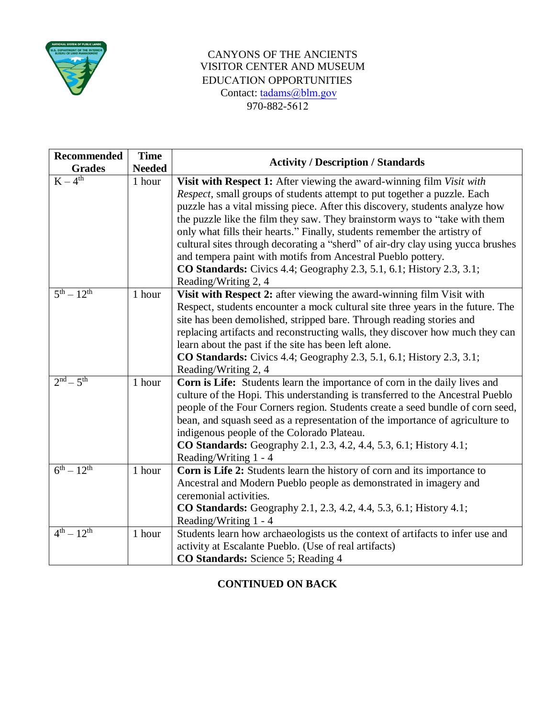

## CANYONS OF THE ANCIENTS VISITOR CENTER AND MUSEUM EDUCATION OPPORTUNITIES Contact: [tadams@blm.gov](mailto:swcocanyons@gmail.com) 970-882-5612

| <b>Recommended</b> | <b>Time</b>   | <b>Activity / Description / Standards</b>                                       |
|--------------------|---------------|---------------------------------------------------------------------------------|
| <b>Grades</b>      | <b>Needed</b> |                                                                                 |
| $K-4^{th}$         | 1 hour        | Visit with Respect 1: After viewing the award-winning film Visit with           |
|                    |               | Respect, small groups of students attempt to put together a puzzle. Each        |
|                    |               | puzzle has a vital missing piece. After this discovery, students analyze how    |
|                    |               | the puzzle like the film they saw. They brainstorm ways to "take with them      |
|                    |               | only what fills their hearts." Finally, students remember the artistry of       |
|                    |               | cultural sites through decorating a "sherd" of air-dry clay using yucca brushes |
|                    |               | and tempera paint with motifs from Ancestral Pueblo pottery.                    |
|                    |               | <b>CO Standards:</b> Civics 4.4; Geography 2.3, 5.1, 6.1; History 2.3, 3.1;     |
|                    |               | Reading/Writing 2, 4                                                            |
| $5^{th} - 12^{th}$ | 1 hour        | Visit with Respect 2: after viewing the award-winning film Visit with           |
|                    |               | Respect, students encounter a mock cultural site three years in the future. The |
|                    |               | site has been demolished, stripped bare. Through reading stories and            |
|                    |               | replacing artifacts and reconstructing walls, they discover how much they can   |
|                    |               | learn about the past if the site has been left alone.                           |
|                    |               | <b>CO Standards:</b> Civics 4.4; Geography 2.3, 5.1, 6.1; History 2.3, 3.1;     |
|                    |               | Reading/Writing 2, 4                                                            |
| $2nd - 5th$        | 1 hour        | Corn is Life: Students learn the importance of corn in the daily lives and      |
|                    |               | culture of the Hopi. This understanding is transferred to the Ancestral Pueblo  |
|                    |               | people of the Four Corners region. Students create a seed bundle of corn seed,  |
|                    |               | bean, and squash seed as a representation of the importance of agriculture to   |
|                    |               | indigenous people of the Colorado Plateau.                                      |
|                    |               | CO Standards: Geography 2.1, 2.3, 4.2, 4.4, 5.3, 6.1; History 4.1;              |
|                    |               | Reading/Writing 1 - 4                                                           |
| $6^{th} - 12^{th}$ | 1 hour        | Corn is Life 2: Students learn the history of corn and its importance to        |
|                    |               | Ancestral and Modern Pueblo people as demonstrated in imagery and               |
|                    |               | ceremonial activities.                                                          |
|                    |               | CO Standards: Geography 2.1, 2.3, 4.2, 4.4, 5.3, 6.1; History 4.1;              |
|                    |               | Reading/Writing 1 - 4                                                           |
| $4^{th} - 12^{th}$ | 1 hour        | Students learn how archaeologists us the context of artifacts to infer use and  |
|                    |               | activity at Escalante Pueblo. (Use of real artifacts)                           |
|                    |               | CO Standards: Science 5; Reading 4                                              |

**CONTINUED ON BACK**